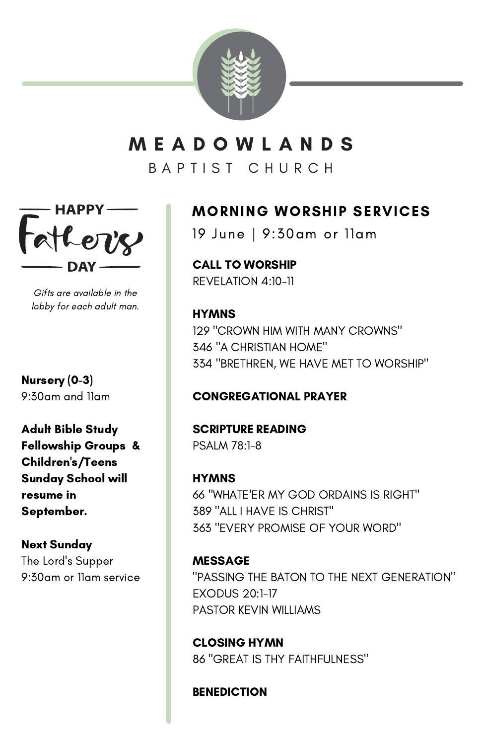

# M E A D O W L A N D S

B A P T I S T C H U R C H



Gifts are available in the lobby for each adult man.

Nursery (0-3) 9:30am and 11am

Adult Bible Study Fellowship Groups & Children's/Teens Sunday School will resume in September.

### Next Sunday

The Lord's Supper 9:30am or 11am service

# MORNING WORSHIP SERVICES

19 June | 9:30am or 11am

CALL TO WORSHIP REVELATION 4:10-11

**HYMNS**  "CROWN HIM WITH MANY CROWNS" "A CHRISTIAN HOME" "BRETHREN, WE HAVE MET TO WORSHIP"

### CONGREGATIONAL PRAYER

SCRIPTURE READING PSALM 78:1-8

**HYMNS**  "WHATE'ER MY GOD ORDAINS IS RIGHT" "ALL I HAVE IS CHRIST" "EVERY PROMISE OF YOUR WORD"

MESSAGE "PASSING THE BATON TO THE NEXT GENERATION" EXODUS 20:1-17 PASTOR KEVIN WILLIAMS

CLOSING HYMN 86 "GREAT IS THY FAITHFULNESS"

**BENEDICTION**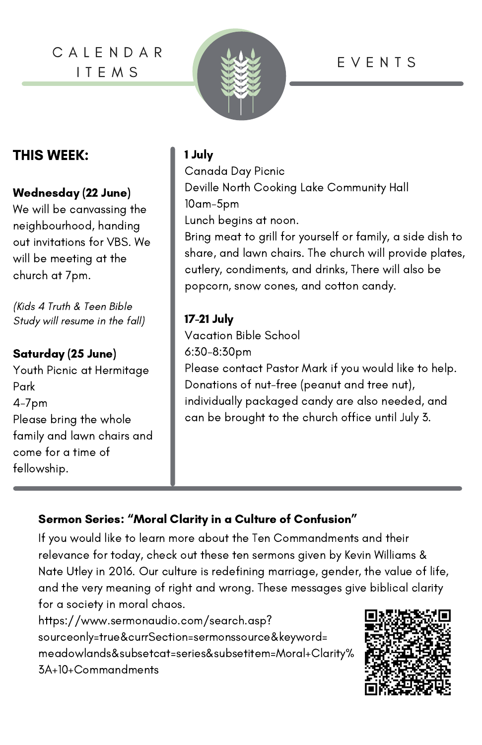C A L E N D A R I T E M S



# E V E N T S

## THIS WEEK: 1 July

### Wednesday (22 June)

We will be canvassing the neighbourhood, handing out invitations for VBS. We will be meeting at the church at 7pm.

(Kids 4 Truth & Teen Bible Study will resume in the fall)

### Saturday (25 June)

Youth Picnic at Hermitage Park 4-7pm Please bring the whole family and lawn chairs and come for a time of fellowship.

Canada Day Picnic Deville North Cooking Lake Community Hall 10am-5pm Lunch begins at noon. Bring meat to grill for yourself or family, a side dish to share, and lawn chairs. The church will provide plates,

cutlery, condiments, and drinks, There will also be popcorn, snow cones, and cotton candy.

### 17-21 July

Vacation Bible School 6:30-8:30pm Please contact Pastor Mark if you would like to help. Donations of nut-free (peanut and tree nut), individually packaged candy are also needed, and can be brought to the church office until July 3.

### Sermon Series: "Moral Clarity in a Culture of Confusion"

If you would like to learn more about the Ten Commandments and their relevance for today, check out these ten sermons given by Kevin Williams & Nate Utley in 2016. Our culture is redefining marriage, gender, the value of life, and the very meaning of right and wrong. These messages give biblical clarity for a society in moral chaos.

https://www.sermonaudio.com/search.asp? [sourceonly=true&currSection=sermonssource&keyword=](https://www.sermonaudio.com/search.asp?sourceonly=true&currSection=sermonssource&keyword=meadowlands&subsetcat=series&subsetitem=Moral+Clarity%3A+10+Commandments) [meadowlands&subsetcat=series&subsetitem=Moral+Clarity%](https://www.sermonaudio.com/search.asp?sourceonly=true&currSection=sermonssource&keyword=meadowlands&subsetcat=series&subsetitem=Moral+Clarity%3A+10+Commandments) [3A+10+Commandments](https://www.sermonaudio.com/search.asp?sourceonly=true&currSection=sermonssource&keyword=meadowlands&subsetcat=series&subsetitem=Moral+Clarity%3A+10+Commandments)

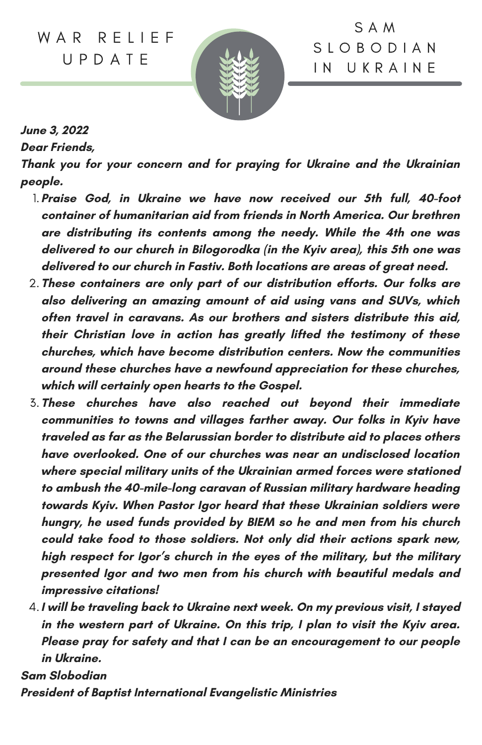W A R R F I I F F U P D A T E



S A M S L O B O D I A N I N U K R A I N E

**June 3, [2022](https://www.baptistinternational.org/news/y4ax55xrhwr7zrzl83cjf9njcfwrf8-h3t8s-g4jc2)**

**Dear Friends,**

**Thank you for your concern and for praying for Ukraine and the Ukrainian people.**

- **Praise God, in Ukraine we have now received our 5th full, 40-foot** 1. **container of humanitarian aid from friends in North America. Our brethren are distributing its contents among the needy. While the 4th one was delivered to our church in Bilogorodka (in the Kyiv area), this 5th one was delivered to our church in Fastiv. Both locations are areas of great need.**
- **These containers are only part of our distribution efforts. Our folks are** 2. **also delivering an amazing amount of aid using vans and SUVs, which often travel in caravans. As our brothers and sisters distribute this aid, their Christian love in action has greatly lifted the testimony of these churches, which have become distribution centers. Now the communities around these churches have a newfound appreciation for these churches, which will certainly open hearts to the Gospel.**
- **These churches have also reached out beyond their immediate** 3. **communities to towns and villages farther away. Our folks in Kyiv have traveled as far as the Belarussian border to distribute aid to places others have overlooked. One of our churches was near an undisclosed location where special military units of the Ukrainian armed forces were stationed to ambush the 40-mile-long caravan of Russian military hardware heading towards Kyiv. When Pastor Igor heard that these Ukrainian soldiers were hungry, he used funds provided by BIEM so he and men from his church could take food to those soldiers. Not only did their actions spark new, high respect for Igor's church in the eyes of the military, but the military presented Igor and two men from his church with beautiful medals and impressive citations!**
- **I will be traveling back to Ukraine next week. On my previous visit, I stayed** 4. **in the western part of Ukraine. On this trip, I plan to visit the Kyiv area. Please pray for safety and that I can be an encouragement to our people in Ukraine.**

**Sam Slobodian**

**President of Baptist International Evangelistic Ministries**